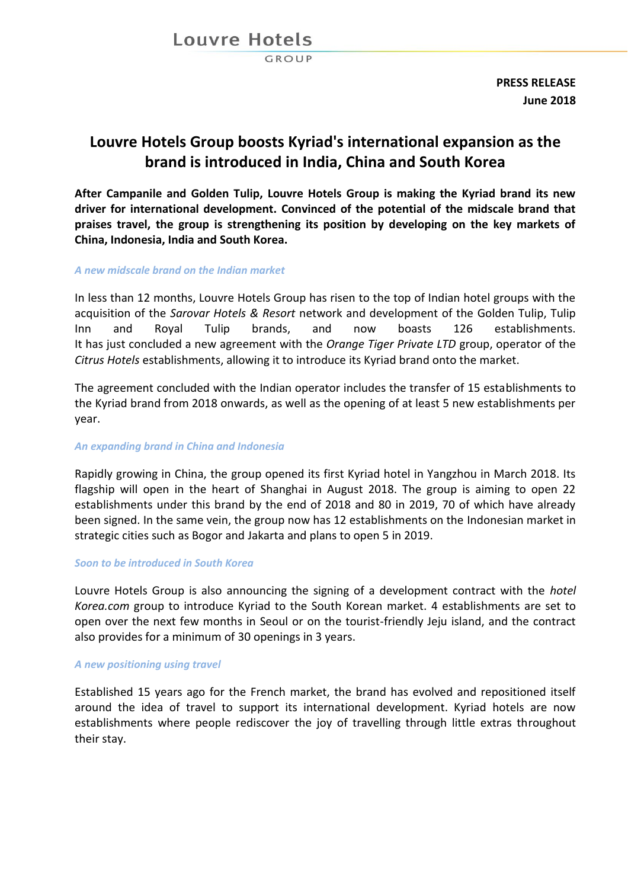## Louvre Hotels

GROUP

**PRESS RELEASE June 2018**

# **Louvre Hotels Group boosts Kyriad's international expansion as the brand is introduced in India, China and South Korea**

**After Campanile and Golden Tulip, Louvre Hotels Group is making the Kyriad brand its new driver for international development. Convinced of the potential of the midscale brand that praises travel, the group is strengthening its position by developing on the key markets of China, Indonesia, India and South Korea.** 

### *A new midscale brand on the Indian market*

In less than 12 months, Louvre Hotels Group has risen to the top of Indian hotel groups with the acquisition of the *Sarovar Hotels & Resort* network and development of the Golden Tulip, Tulip Inn and Royal Tulip brands, and now boasts 126 establishments. It has just concluded a new agreement with the *Orange Tiger Private LTD* group, operator of the *Citrus Hotels* establishments, allowing it to introduce its Kyriad brand onto the market.

The agreement concluded with the Indian operator includes the transfer of 15 establishments to the Kyriad brand from 2018 onwards, as well as the opening of at least 5 new establishments per year.

#### *An expanding brand in China and Indonesia*

Rapidly growing in China, the group opened its first Kyriad hotel in Yangzhou in March 2018. Its flagship will open in the heart of Shanghai in August 2018. The group is aiming to open 22 establishments under this brand by the end of 2018 and 80 in 2019, 70 of which have already been signed. In the same vein, the group now has 12 establishments on the Indonesian market in strategic cities such as Bogor and Jakarta and plans to open 5 in 2019.

#### *Soon to be introduced in South Korea*

Louvre Hotels Group is also announcing the signing of a development contract with the *hotel Korea.com* group to introduce Kyriad to the South Korean market. 4 establishments are set to open over the next few months in Seoul or on the tourist-friendly Jeju island, and the contract also provides for a minimum of 30 openings in 3 years.

#### *A new positioning using travel*

Established 15 years ago for the French market, the brand has evolved and repositioned itself around the idea of travel to support its international development. Kyriad hotels are now establishments where people rediscover the joy of travelling through little extras throughout their stay.